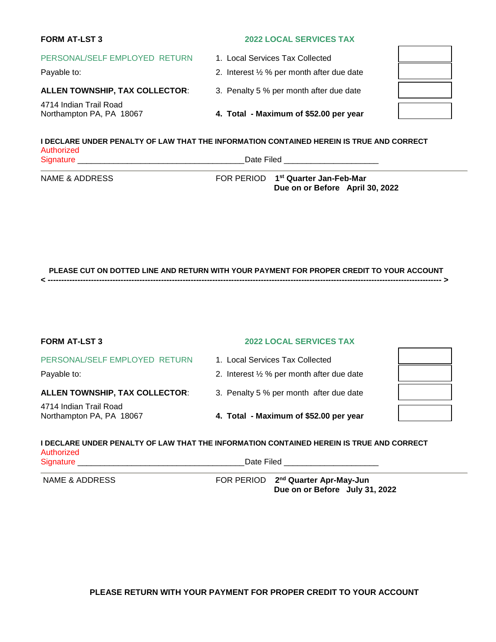| <b>FORM AT-LST 3</b>                               | <b>2022 LOCAL SERVICES TAX</b>                                                          |  |
|----------------------------------------------------|-----------------------------------------------------------------------------------------|--|
| PERSONAL/SELF EMPLOYED RETURN<br>Payable to:       | 1. Local Services Tax Collected<br>2. Interest $\frac{1}{2}$ % per month after due date |  |
| <b>ALLEN TOWNSHIP, TAX COLLECTOR:</b>              | 3. Penalty 5 % per month after due date                                                 |  |
| 4714 Indian Trail Road<br>Northampton PA, PA 18067 | 4. Total - Maximum of \$52.00 per year                                                  |  |
|                                                    |                                                                                         |  |

#### **I DECLARE UNDER PENALTY OF LAW THAT THE INFORMATION CONTAINED HEREIN IS TRUE AND CORRECT**  Authorized Signature \_\_\_\_\_\_\_\_\_\_\_\_\_\_\_\_\_\_\_\_\_\_\_\_\_\_\_\_\_\_\_\_\_\_\_\_\_ Date Filed \_\_\_\_\_\_\_\_\_\_\_\_\_\_\_\_\_\_\_\_\_

**NAME & ADDRESS** 

**FOR PERIOD** 1<sup>st</sup> Quarter Jan-Feb-Mar **Due on or Before April 30, 2022** 

 **PLEASE CUT ON DOTTED LINE AND RETURN WITH YOUR PAYMENT FOR PROPER CREDIT TO YOUR ACCOUNT < -------------------------------------------------------------------------------------------------------------------------------------------------- >** 

| <b>FORM AT-LST 3</b>                               | <b>2022 LOCAL SERVICES TAX</b>                                                                  |  |
|----------------------------------------------------|-------------------------------------------------------------------------------------------------|--|
| PERSONAL/SELF EMPLOYED RETURN                      | 1. Local Services Tax Collected                                                                 |  |
| Payable to:                                        | 2. Interest $\frac{1}{2}$ % per month after due date                                            |  |
| <b>ALLEN TOWNSHIP, TAX COLLECTOR:</b>              | 3. Penalty 5 % per month after due date                                                         |  |
| 4714 Indian Trail Road<br>Northampton PA, PA 18067 | 4. Total - Maximum of \$52.00 per year                                                          |  |
|                                                    | <u>I DEALADE HNDED DENALTY OE LAW TUAT TUE INEODMATION CONTAINED UEDEIN IS TDHE AND CODDECT</u> |  |

# **I DECLARE UNDER PENALTY OF LAW THAT THE INFORMATION CONTAINED HEREIN IS TRUE AND CORRECT**  Authorized<br>Signature \_\_\_\_\_\_\_\_\_\_\_\_\_

Signature \_\_\_\_\_\_\_\_\_\_\_\_\_\_\_\_\_\_\_\_\_\_\_\_\_\_\_\_\_\_\_\_\_\_\_\_\_ Date Filed \_\_\_\_\_\_\_\_\_\_\_\_\_\_\_\_\_\_\_\_\_

NAME & ADDRESS FOR PERIOD 2<sup>nd</sup> Quarter Apr-May-Jun **Due on or Before July 31, 2022** 

**PLEASE RETURN WITH YOUR PAYMENT FOR PROPER CREDIT TO YOUR ACCOUNT**